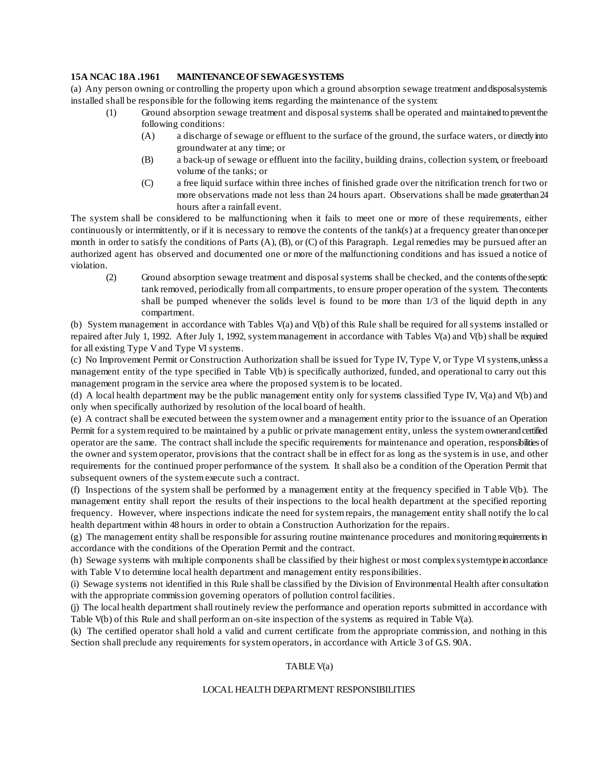## **15A NCAC 18A .1961 MAINTENANCE OF SEWAGE SYSTEMS**

(a) Any person owning or controlling the property upon which a ground absorption sewage treatment and disposal systems installed shall be responsible for the following items regarding the maintenance of the system:

- (1) Ground absorption sewage treatment and disposal systems shall be operated and maintained to prevent the following conditions:
	- (A) a discharge of sewage or effluent to the surface of the ground, the surface waters, or directly into groundwater at any time; or
	- (B) a back-up of sewage or effluent into the facility, building drains, collection system, or freeboard volume of the tanks; or
	- (C) a free liquid surface within three inches of finished grade over the nitrification trench for two or more observations made not less than 24 hours apart. Observations shall be made greater than 24 hours after a rainfall event.

The system shall be considered to be malfunctioning when it fails to meet one or more of these requirements, either continuously or intermittently, or if it is necessary to remove the contents of the tank(s) at a frequency greater than once per month in order to satisfy the conditions of Parts (A), (B), or (C) of this Paragraph. Legal remedies may be pursued after an authorized agent has observed and documented one or more of the malfunctioning conditions and has issued a notice of violation.

(2) Ground absorption sewage treatment and disposal systems shall be checked, and the contents of the septic tank removed, periodically from all compartments, to ensure proper operation of the system. The contents shall be pumped whenever the solids level is found to be more than 1/3 of the liquid depth in any compartment.

(b) System management in accordance with Tables V(a) and V(b) of this Rule shall be required for all systems installed or repaired after July 1, 1992. After July 1, 1992, system management in accordance with Tables V(a) and V(b) shall be required for all existing Type V and Type VI systems.

(c) No Improvement Permit or Construction Authorization shall be issued for Type IV, Type V, or Type VI systems, unless a management entity of the type specified in Table V(b) is specifically authorized, funded, and operational to carry out this management program in the service area where the proposed system is to be located.

(d) A local health department may be the public management entity only for systems classified Type IV, V(a) and V(b) and only when specifically authorized by resolution of the local board of health.

(e) A contract shall be executed between the system owner and a management entity prior to the issuance of an Operation Permit for a system required to be maintained by a public or private management entity, unless the system owner and certified operator are the same. The contract shall include the specific requirements for maintenance and operation, responsibilities of the owner and system operator, provisions that the contract shall be in effect for as long as the system is in use, and other requirements for the continued proper performance of the system. It shall also be a condition of the Operation Permit that subsequent owners of the system execute such a contract.

(f) Inspections of the system shall be performed by a management entity at the frequency specified in Table V(b). The management entity shall report the results of their inspections to the local health department at the specified reporting frequency. However, where inspections indicate the need for system repairs, the management entity shall notify the lo cal health department within 48 hours in order to obtain a Construction Authorization for the repairs.

(g) The management entity shall be responsible for assuring routine maintenance procedures and monitoring requirements in accordance with the conditions of the Operation Permit and the contract.

(h) Sewage systems with multiple components shall be classified by their highest or most complex system type in accordance with Table V to determine local health department and management entity responsibilities.

(i) Sewage systems not identified in this Rule shall be classified by the Division of Environmental Health after consultation with the appropriate commission governing operators of pollution control facilities.

(j) The local health department shall routinely review the performance and operation reports submitted in accordance with Table V(b) of this Rule and shall perform an on-site inspection of the systems as required in Table V(a).

(k) The certified operator shall hold a valid and current certificate from the appropriate commission, and nothing in this Section shall preclude any requirements for system operators, in accordance with Article 3 of G.S. 90A.

## TABLE V(a)

#### LOCAL HEALTH DEPARTMENT RESPONSIBILITIES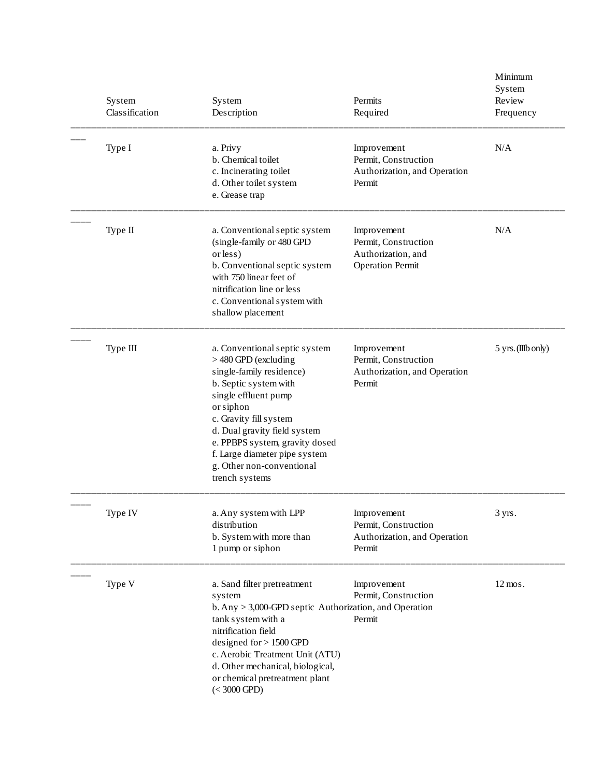| System<br>Classification | System<br>Description                                                                                                                                                                                                                                                                                                       | Permits<br>Required                                                                  | Minimum<br>System<br>Review<br>Frequency |
|--------------------------|-----------------------------------------------------------------------------------------------------------------------------------------------------------------------------------------------------------------------------------------------------------------------------------------------------------------------------|--------------------------------------------------------------------------------------|------------------------------------------|
| Type I                   | a. Privy<br>b. Chemical toilet<br>c. Incinerating toilet<br>d. Other toilet system<br>e. Grease trap                                                                                                                                                                                                                        | Improvement<br>Permit, Construction<br>Authorization, and Operation<br>Permit        | N/A                                      |
| Type II                  | a. Conventional septic system<br>(single-family or 480 GPD<br>or less)<br>b. Conventional septic system<br>with 750 linear feet of<br>nitrification line or less<br>c. Conventional system with<br>shallow placement                                                                                                        | Improvement<br>Permit, Construction<br>Authorization, and<br><b>Operation Permit</b> | N/A                                      |
| Type III                 | a. Conventional septic system<br>> 480 GPD (excluding<br>single-family residence)<br>b. Septic system with<br>single effluent pump<br>or siphon<br>c. Gravity fill system<br>d. Dual gravity field system<br>e. PPBPS system, gravity dosed<br>f. Large diameter pipe system<br>g. Other non-conventional<br>trench systems | Improvement<br>Permit, Construction<br>Authorization, and Operation<br>Permit        | 5 yrs. (IIIb only)                       |
| Type IV                  | a. Any system with LPP<br>distribution<br>b. System with more than<br>1 pump or siphon                                                                                                                                                                                                                                      | Improvement<br>Permit, Construction<br>Authorization, and Operation<br>Permit        | 3 yrs.                                   |
| Type V                   | a. Sand filter pretreatment<br>system<br>$b. Any > 3,000$ -GPD septic Authorization, and Operation<br>tank system with a<br>nitrification field<br>designed for $> 1500$ GPD<br>c. Aerobic Treatment Unit (ATU)<br>d. Other mechanical, biological,<br>or chemical pretreatment plant<br>$(< 3000$ GPD)                     | Improvement<br>Permit, Construction<br>Permit                                        | $12 \text{ mos}.$                        |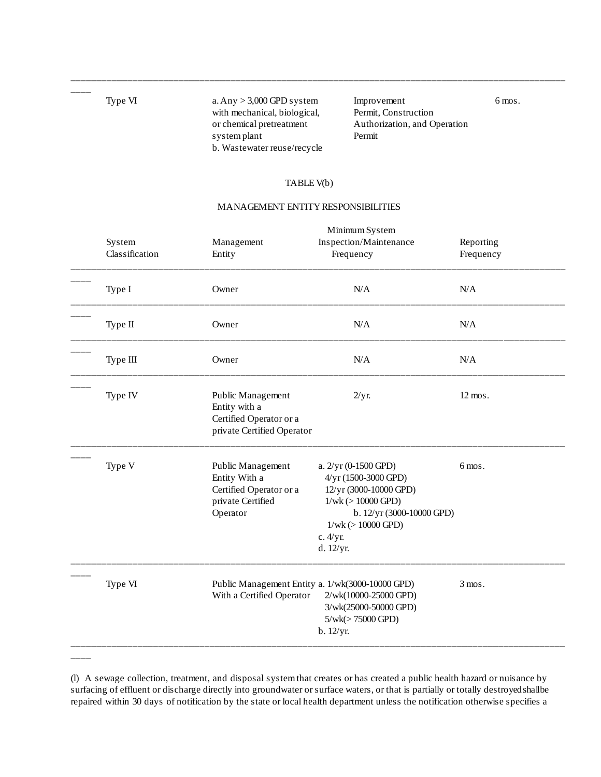$\overline{\phantom{a}}$ 

 $\overline{\phantom{a}}$ 

with mechanical, biological, Permit, Construction system plant Permit b. Wastewater reuse/recycle

Type VI a. Any > 3,000 GPD system Improvement 6 mos. or chemical pretreatment Authorization, and Operation

# TABLE V(b)

\_\_\_\_\_\_\_\_\_\_\_\_\_\_\_\_\_\_\_\_\_\_\_\_\_\_\_\_\_\_\_\_\_\_\_\_\_\_\_\_\_\_\_\_\_\_\_\_\_\_\_\_\_\_\_\_\_\_\_\_\_\_\_\_\_\_\_\_\_\_\_\_\_\_\_\_\_\_\_\_\_\_\_\_\_\_\_\_\_\_\_\_\_\_\_\_

### MANAGEMENT ENTITY RESPONSIBILITIES

| System<br>Classification | Management<br>Entity                                                                           | Minimum System<br>Inspection/Maintenance<br>Frequency                                                                                                                        | Reporting<br>Frequency |
|--------------------------|------------------------------------------------------------------------------------------------|------------------------------------------------------------------------------------------------------------------------------------------------------------------------------|------------------------|
| Type I                   | Owner                                                                                          | N/A                                                                                                                                                                          | N/A                    |
| Type II                  | Owner                                                                                          | N/A                                                                                                                                                                          | N/A                    |
| Type III                 | Owner                                                                                          | N/A                                                                                                                                                                          | $\rm N/A$              |
| Type IV                  | Public Management<br>Entity with a<br>Certified Operator or a<br>private Certified Operator    | 2/yr.                                                                                                                                                                        | 12 mos.                |
| Type V                   | Public Management<br>Entity With a<br>Certified Operator or a<br>private Certified<br>Operator | a. 2/yr (0-1500 GPD)<br>4/yr (1500-3000 GPD)<br>12/yr (3000-10000 GPD)<br>$1/wk (> 10000$ GPD)<br>b. 12/yr (3000-10000 GPD)<br>$1/wk (> 10000$ GPD)<br>c. 4/yr.<br>d. 12/yr. | 6 mos.                 |
| Type VI                  | Public Management Entity a. 1/wk(3000-10000 GPD)<br>With a Certified Operator                  | 2/wk(10000-25000 GPD)<br>3/wk(25000-50000 GPD)<br>5/wk(>75000 GPD)<br>b. 12/yr.                                                                                              | $3 \text{ mos}.$       |

(l) A sewage collection, treatment, and disposal system that creates or has created a public health hazard or nuisance by surfacing of effluent or discharge directly into groundwater or surface waters, or that is partially or totally destroyed shall be repaired within 30 days of notification by the state or local health department unless the notification otherwise specifies a